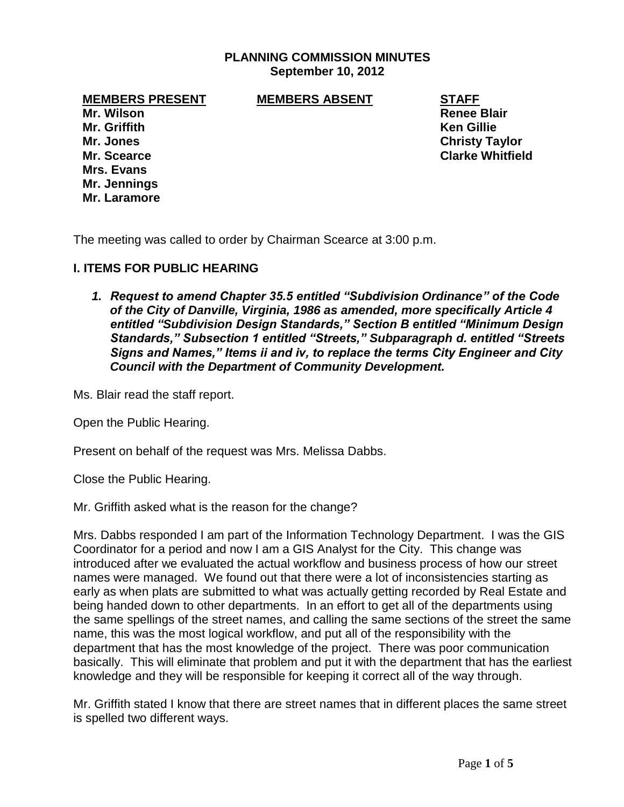### **PLANNING COMMISSION MINUTES September 10, 2012**

**MEMBERS PRESENT MEMBERS ABSENT STAFF**

**Mr. Wilson Renee Blair Mr. Griffith Ken Gillie Mr. Jones Christy Taylor Mrs. Evans Mr. Jennings Mr. Laramore**

**Mr. Scearce Clarke Whitfield**

The meeting was called to order by Chairman Scearce at 3:00 p.m.

### **I. ITEMS FOR PUBLIC HEARING**

*1. Request to amend Chapter 35.5 entitled "Subdivision Ordinance" of the Code of the City of Danville, Virginia, 1986 as amended, more specifically Article 4 entitled "Subdivision Design Standards," Section B entitled "Minimum Design Standards," Subsection 1 entitled "Streets," Subparagraph d. entitled "Streets Signs and Names," Items ii and iv, to replace the terms City Engineer and City Council with the Department of Community Development.* 

Ms. Blair read the staff report.

Open the Public Hearing.

Present on behalf of the request was Mrs. Melissa Dabbs.

Close the Public Hearing.

Mr. Griffith asked what is the reason for the change?

Mrs. Dabbs responded I am part of the Information Technology Department. I was the GIS Coordinator for a period and now I am a GIS Analyst for the City. This change was introduced after we evaluated the actual workflow and business process of how our street names were managed. We found out that there were a lot of inconsistencies starting as early as when plats are submitted to what was actually getting recorded by Real Estate and being handed down to other departments. In an effort to get all of the departments using the same spellings of the street names, and calling the same sections of the street the same name, this was the most logical workflow, and put all of the responsibility with the department that has the most knowledge of the project. There was poor communication basically. This will eliminate that problem and put it with the department that has the earliest knowledge and they will be responsible for keeping it correct all of the way through.

Mr. Griffith stated I know that there are street names that in different places the same street is spelled two different ways.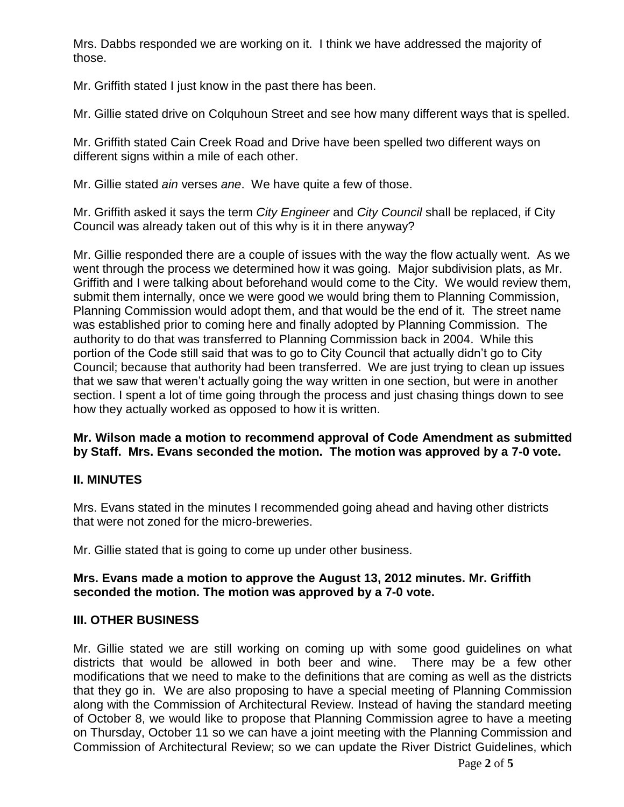Mrs. Dabbs responded we are working on it. I think we have addressed the majority of those.

Mr. Griffith stated I just know in the past there has been.

Mr. Gillie stated drive on Colquhoun Street and see how many different ways that is spelled.

Mr. Griffith stated Cain Creek Road and Drive have been spelled two different ways on different signs within a mile of each other.

Mr. Gillie stated *ain* verses *ane*. We have quite a few of those.

Mr. Griffith asked it says the term *City Engineer* and *City Council* shall be replaced, if City Council was already taken out of this why is it in there anyway?

Mr. Gillie responded there are a couple of issues with the way the flow actually went. As we went through the process we determined how it was going. Major subdivision plats, as Mr. Griffith and I were talking about beforehand would come to the City. We would review them, submit them internally, once we were good we would bring them to Planning Commission, Planning Commission would adopt them, and that would be the end of it. The street name was established prior to coming here and finally adopted by Planning Commission. The authority to do that was transferred to Planning Commission back in 2004. While this portion of the Code still said that was to go to City Council that actually didn't go to City Council; because that authority had been transferred. We are just trying to clean up issues that we saw that weren't actually going the way written in one section, but were in another section. I spent a lot of time going through the process and just chasing things down to see how they actually worked as opposed to how it is written.

# **Mr. Wilson made a motion to recommend approval of Code Amendment as submitted by Staff. Mrs. Evans seconded the motion. The motion was approved by a 7-0 vote.**

# **II. MINUTES**

Mrs. Evans stated in the minutes I recommended going ahead and having other districts that were not zoned for the micro-breweries.

Mr. Gillie stated that is going to come up under other business.

# **Mrs. Evans made a motion to approve the August 13, 2012 minutes. Mr. Griffith seconded the motion. The motion was approved by a 7-0 vote.**

# **III. OTHER BUSINESS**

Mr. Gillie stated we are still working on coming up with some good guidelines on what districts that would be allowed in both beer and wine. There may be a few other modifications that we need to make to the definitions that are coming as well as the districts that they go in. We are also proposing to have a special meeting of Planning Commission along with the Commission of Architectural Review. Instead of having the standard meeting of October 8, we would like to propose that Planning Commission agree to have a meeting on Thursday, October 11 so we can have a joint meeting with the Planning Commission and Commission of Architectural Review; so we can update the River District Guidelines, which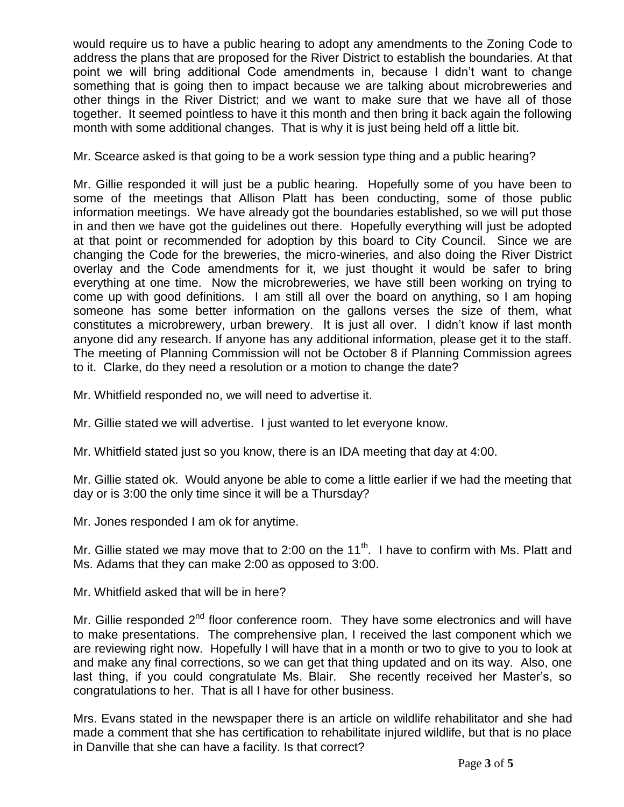would require us to have a public hearing to adopt any amendments to the Zoning Code to address the plans that are proposed for the River District to establish the boundaries. At that point we will bring additional Code amendments in, because I didn't want to change something that is going then to impact because we are talking about microbreweries and other things in the River District; and we want to make sure that we have all of those together. It seemed pointless to have it this month and then bring it back again the following month with some additional changes. That is why it is just being held off a little bit.

Mr. Scearce asked is that going to be a work session type thing and a public hearing?

Mr. Gillie responded it will just be a public hearing. Hopefully some of you have been to some of the meetings that Allison Platt has been conducting, some of those public information meetings. We have already got the boundaries established, so we will put those in and then we have got the guidelines out there. Hopefully everything will just be adopted at that point or recommended for adoption by this board to City Council. Since we are changing the Code for the breweries, the micro-wineries, and also doing the River District overlay and the Code amendments for it, we just thought it would be safer to bring everything at one time. Now the microbreweries, we have still been working on trying to come up with good definitions. I am still all over the board on anything, so I am hoping someone has some better information on the gallons verses the size of them, what constitutes a microbrewery, urban brewery. It is just all over. I didn't know if last month anyone did any research. If anyone has any additional information, please get it to the staff. The meeting of Planning Commission will not be October 8 if Planning Commission agrees to it. Clarke, do they need a resolution or a motion to change the date?

Mr. Whitfield responded no, we will need to advertise it.

Mr. Gillie stated we will advertise. I just wanted to let everyone know.

Mr. Whitfield stated just so you know, there is an IDA meeting that day at 4:00.

Mr. Gillie stated ok. Would anyone be able to come a little earlier if we had the meeting that day or is 3:00 the only time since it will be a Thursday?

Mr. Jones responded I am ok for anytime.

Mr. Gillie stated we may move that to 2:00 on the  $11<sup>th</sup>$ . I have to confirm with Ms. Platt and Ms. Adams that they can make 2:00 as opposed to 3:00.

Mr. Whitfield asked that will be in here?

Mr. Gillie responded  $2^{nd}$  floor conference room. They have some electronics and will have to make presentations. The comprehensive plan, I received the last component which we are reviewing right now. Hopefully I will have that in a month or two to give to you to look at and make any final corrections, so we can get that thing updated and on its way. Also, one last thing, if you could congratulate Ms. Blair. She recently received her Master's, so congratulations to her. That is all I have for other business.

Mrs. Evans stated in the newspaper there is an article on wildlife rehabilitator and she had made a comment that she has certification to rehabilitate injured wildlife, but that is no place in Danville that she can have a facility. Is that correct?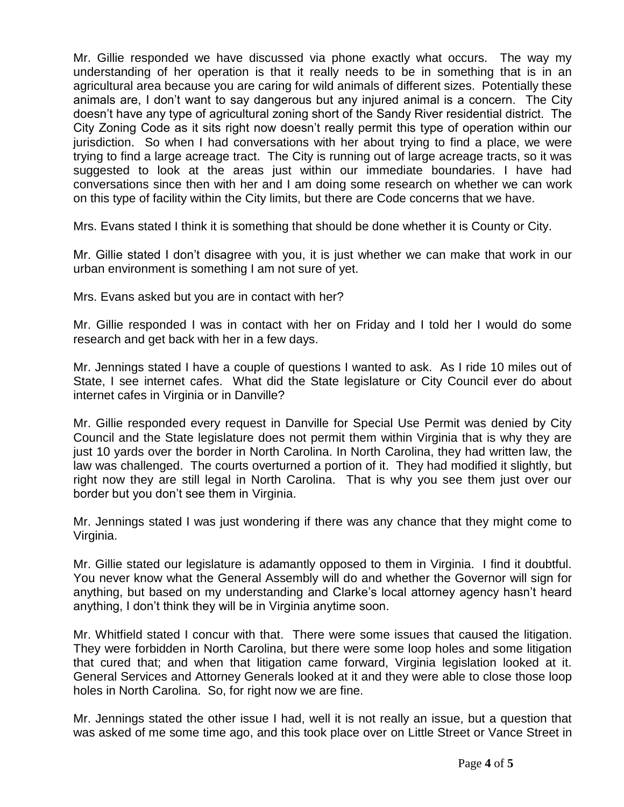Mr. Gillie responded we have discussed via phone exactly what occurs. The way my understanding of her operation is that it really needs to be in something that is in an agricultural area because you are caring for wild animals of different sizes. Potentially these animals are, I don't want to say dangerous but any injured animal is a concern. The City doesn't have any type of agricultural zoning short of the Sandy River residential district. The City Zoning Code as it sits right now doesn't really permit this type of operation within our jurisdiction. So when I had conversations with her about trying to find a place, we were trying to find a large acreage tract. The City is running out of large acreage tracts, so it was suggested to look at the areas just within our immediate boundaries. I have had conversations since then with her and I am doing some research on whether we can work on this type of facility within the City limits, but there are Code concerns that we have.

Mrs. Evans stated I think it is something that should be done whether it is County or City.

Mr. Gillie stated I don't disagree with you, it is just whether we can make that work in our urban environment is something I am not sure of yet.

Mrs. Evans asked but you are in contact with her?

Mr. Gillie responded I was in contact with her on Friday and I told her I would do some research and get back with her in a few days.

Mr. Jennings stated I have a couple of questions I wanted to ask. As I ride 10 miles out of State, I see internet cafes. What did the State legislature or City Council ever do about internet cafes in Virginia or in Danville?

Mr. Gillie responded every request in Danville for Special Use Permit was denied by City Council and the State legislature does not permit them within Virginia that is why they are just 10 yards over the border in North Carolina. In North Carolina, they had written law, the law was challenged. The courts overturned a portion of it. They had modified it slightly, but right now they are still legal in North Carolina. That is why you see them just over our border but you don't see them in Virginia.

Mr. Jennings stated I was just wondering if there was any chance that they might come to Virginia.

Mr. Gillie stated our legislature is adamantly opposed to them in Virginia. I find it doubtful. You never know what the General Assembly will do and whether the Governor will sign for anything, but based on my understanding and Clarke's local attorney agency hasn't heard anything, I don't think they will be in Virginia anytime soon.

Mr. Whitfield stated I concur with that. There were some issues that caused the litigation. They were forbidden in North Carolina, but there were some loop holes and some litigation that cured that; and when that litigation came forward, Virginia legislation looked at it. General Services and Attorney Generals looked at it and they were able to close those loop holes in North Carolina. So, for right now we are fine.

Mr. Jennings stated the other issue I had, well it is not really an issue, but a question that was asked of me some time ago, and this took place over on Little Street or Vance Street in